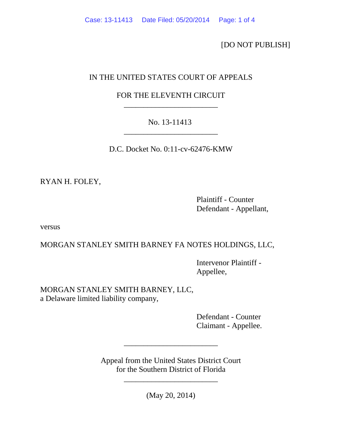[DO NOT PUBLISH]

## IN THE UNITED STATES COURT OF APPEALS

## FOR THE ELEVENTH CIRCUIT \_\_\_\_\_\_\_\_\_\_\_\_\_\_\_\_\_\_\_\_\_\_\_\_

## No. 13-11413 \_\_\_\_\_\_\_\_\_\_\_\_\_\_\_\_\_\_\_\_\_\_\_\_

D.C. Docket No. 0:11-cv-62476-KMW

RYAN H. FOLEY,

 Plaintiff - Counter Defendant - Appellant,

versus

MORGAN STANLEY SMITH BARNEY FA NOTES HOLDINGS, LLC,

 Intervenor Plaintiff - Appellee,

MORGAN STANLEY SMITH BARNEY, LLC, a Delaware limited liability company,

> Defendant - Counter Claimant - Appellee.

Appeal from the United States District Court for the Southern District of Florida

\_\_\_\_\_\_\_\_\_\_\_\_\_\_\_\_\_\_\_\_\_\_\_\_

(May 20, 2014)

\_\_\_\_\_\_\_\_\_\_\_\_\_\_\_\_\_\_\_\_\_\_\_\_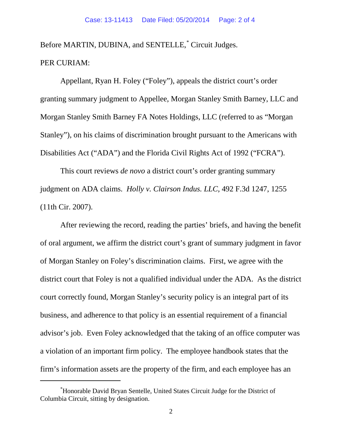Before MARTIN, DUBINA, and SENTELLE,<sup>[\\*](#page-1-0)</sup> Circuit Judges. PER CURIAM:

Appellant, Ryan H. Foley ("Foley"), appeals the district court's order granting summary judgment to Appellee, Morgan Stanley Smith Barney, LLC and Morgan Stanley Smith Barney FA Notes Holdings, LLC (referred to as "Morgan Stanley"), on his claims of discrimination brought pursuant to the Americans with Disabilities Act ("ADA") and the Florida Civil Rights Act of 1992 ("FCRA").

This court reviews *de novo* a district court's order granting summary judgment on ADA claims. *Holly v. Clairson Indus. LLC,* 492 F.3d 1247, 1255 (11th Cir. 2007).

After reviewing the record, reading the parties' briefs, and having the benefit of oral argument, we affirm the district court's grant of summary judgment in favor of Morgan Stanley on Foley's discrimination claims. First, we agree with the district court that Foley is not a qualified individual under the ADA. As the district court correctly found, Morgan Stanley's security policy is an integral part of its business, and adherence to that policy is an essential requirement of a financial advisor's job. Even Foley acknowledged that the taking of an office computer was a violation of an important firm policy. The employee handbook states that the firm's information assets are the property of the firm, and each employee has an

 $\overline{a}$ 

<span id="page-1-0"></span><sup>\*</sup> Honorable David Bryan Sentelle, United States Circuit Judge for the District of Columbia Circuit, sitting by designation.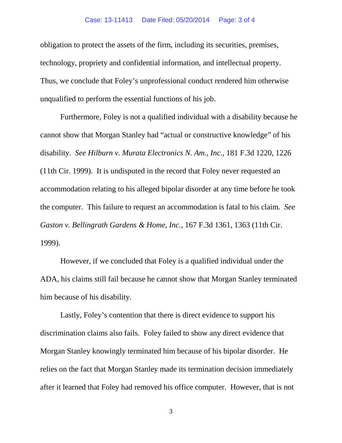obligation to protect the assets of the firm, including its securities, premises, technology, propriety and confidential information, and intellectual property. Thus, we conclude that Foley's unprofessional conduct rendered him otherwise unqualified to perform the essential functions of his job.

Furthermore, Foley is not a qualified individual with a disability because he cannot show that Morgan Stanley had "actual or constructive knowledge" of his disability. *See Hilburn v. Murata Electronics N. Am., Inc.,* 181 F.3d 1220, 1226 (11th Cir. 1999). It is undisputed in the record that Foley never requested an accommodation relating to his alleged bipolar disorder at any time before he took the computer. This failure to request an accommodation is fatal to his claim. *See Gaston v. Bellingrath Gardens & Home, Inc.*, 167 F.3d 1361, 1363 (11th Cir. 1999).

However, if we concluded that Foley is a qualified individual under the ADA, his claims still fail because he cannot show that Morgan Stanley terminated him because of his disability.

Lastly, Foley's contention that there is direct evidence to support his discrimination claims also fails. Foley failed to show any direct evidence that Morgan Stanley knowingly terminated him because of his bipolar disorder. He relies on the fact that Morgan Stanley made its termination decision immediately after it learned that Foley had removed his office computer. However, that is not

3